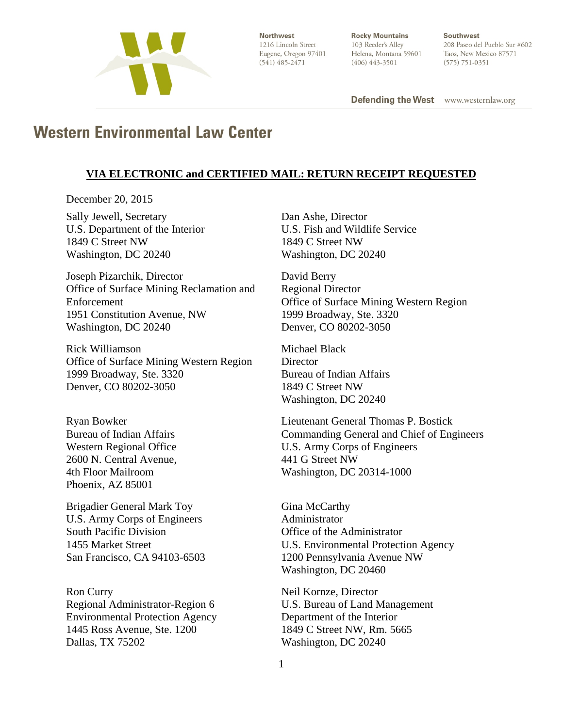

Northwest 1216 Lincoln Street Eugene, Oregon 97401  $(541)$  485-2471

**Rocky Mountains** 103 Reeder's Alley Helena, Montana 59601  $(406)$  443-3501

Southwest 208 Paseo del Pueblo Sur #602 Taos, New Mexico 87571  $(575) 751 - 0351$ 

**Defending the West** www.westernlaw.org

# **Western Environmental Law Center**

#### **VIA ELECTRONIC and CERTIFIED MAIL: RETURN RECEIPT REQUESTED**

December 20, 2015

Sally Jewell, Secretary U.S. Department of the Interior 1849 C Street NW Washington, DC 20240

Joseph Pizarchik, Director Office of Surface Mining Reclamation and Enforcement 1951 Constitution Avenue, NW Washington, DC 20240

Rick Williamson Office of Surface Mining Western Region 1999 Broadway, Ste. 3320 Denver, CO 80202-3050

Ryan Bowker Bureau of Indian Affairs Western Regional Office 2600 N. Central Avenue, 4th Floor Mailroom Phoenix, AZ 85001

Brigadier General Mark Toy U.S. Army Corps of Engineers South Pacific Division 1455 Market Street San Francisco, CA 94103-6503

Ron Curry Regional Administrator-Region 6 Environmental Protection Agency 1445 Ross Avenue, Ste. 1200 Dallas, TX 75202

Dan Ashe, Director U.S. Fish and Wildlife Service 1849 C Street NW Washington, DC 20240

David Berry Regional Director Office of Surface Mining Western Region 1999 Broadway, Ste. 3320 Denver, CO 80202-3050

Michael Black **Director** Bureau of Indian Affairs 1849 C Street NW Washington, DC 20240

Lieutenant General Thomas P. Bostick Commanding General and Chief of Engineers U.S. Army Corps of Engineers 441 G Street NW Washington, DC 20314-1000

Gina McCarthy Administrator Office of the Administrator U.S. Environmental Protection Agency 1200 Pennsylvania Avenue NW Washington, DC 20460

Neil Kornze, Director U.S. Bureau of Land Management Department of the Interior 1849 C Street NW, Rm. 5665 Washington, DC 20240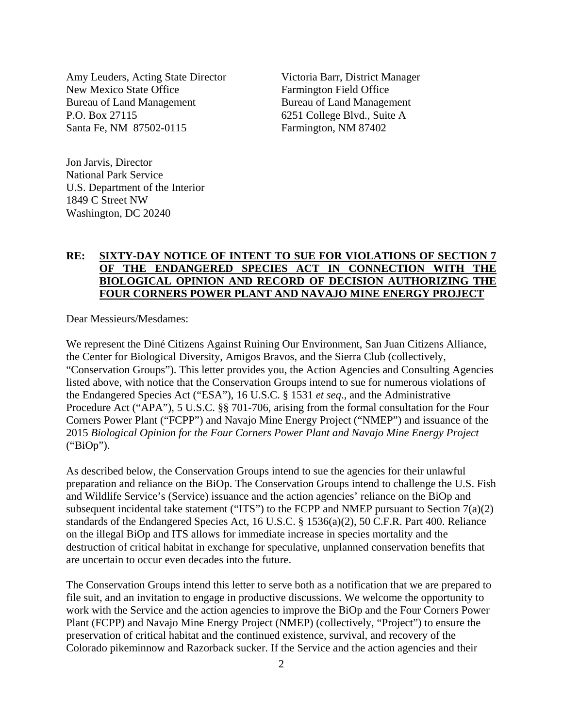Amy Leuders, Acting State Director New Mexico State Office Bureau of Land Management P.O. Box 27115 Santa Fe, NM 87502-0115

Victoria Barr, District Manager Farmington Field Office Bureau of Land Management 6251 College Blvd., Suite A Farmington, NM 87402

Jon Jarvis, Director National Park Service U.S. Department of the Interior 1849 C Street NW Washington, DC 20240

#### **RE: SIXTY-DAY NOTICE OF INTENT TO SUE FOR VIOLATIONS OF SECTION 7 OF THE ENDANGERED SPECIES ACT IN CONNECTION WITH THE BIOLOGICAL OPINION AND RECORD OF DECISION AUTHORIZING THE FOUR CORNERS POWER PLANT AND NAVAJO MINE ENERGY PROJECT**

Dear Messieurs/Mesdames:

We represent the Diné Citizens Against Ruining Our Environment, San Juan Citizens Alliance, the Center for Biological Diversity, Amigos Bravos, and the Sierra Club (collectively, "Conservation Groups"). This letter provides you, the Action Agencies and Consulting Agencies listed above, with notice that the Conservation Groups intend to sue for numerous violations of the Endangered Species Act ("ESA"), 16 U.S.C. § 1531 *et seq*., and the Administrative Procedure Act ("APA"), 5 U.S.C. §§ 701-706, arising from the formal consultation for the Four Corners Power Plant ("FCPP") and Navajo Mine Energy Project ("NMEP") and issuance of the 2015 *Biological Opinion for the Four Corners Power Plant and Navajo Mine Energy Project* ("BiOp").

As described below, the Conservation Groups intend to sue the agencies for their unlawful preparation and reliance on the BiOp. The Conservation Groups intend to challenge the U.S. Fish and Wildlife Service's (Service) issuance and the action agencies' reliance on the BiOp and subsequent incidental take statement ("ITS") to the FCPP and NMEP pursuant to Section  $7(a)(2)$ standards of the Endangered Species Act, 16 U.S.C. § 1536(a)(2), 50 C.F.R. Part 400. Reliance on the illegal BiOp and ITS allows for immediate increase in species mortality and the destruction of critical habitat in exchange for speculative, unplanned conservation benefits that are uncertain to occur even decades into the future.

The Conservation Groups intend this letter to serve both as a notification that we are prepared to file suit, and an invitation to engage in productive discussions. We welcome the opportunity to work with the Service and the action agencies to improve the BiOp and the Four Corners Power Plant (FCPP) and Navajo Mine Energy Project (NMEP) (collectively, "Project") to ensure the preservation of critical habitat and the continued existence, survival, and recovery of the Colorado pikeminnow and Razorback sucker. If the Service and the action agencies and their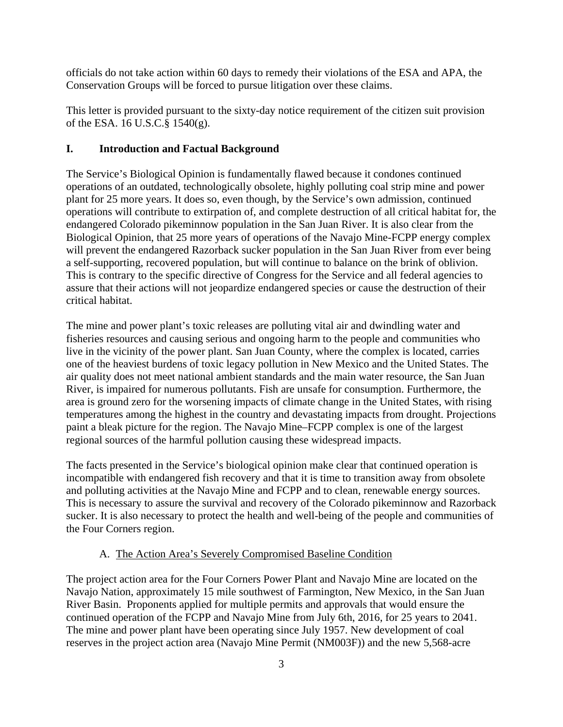officials do not take action within 60 days to remedy their violations of the ESA and APA, the Conservation Groups will be forced to pursue litigation over these claims.

This letter is provided pursuant to the sixty-day notice requirement of the citizen suit provision of the ESA. 16 U.S.C.§ 1540(g).

#### **I. Introduction and Factual Background**

The Service's Biological Opinion is fundamentally flawed because it condones continued operations of an outdated, technologically obsolete, highly polluting coal strip mine and power plant for 25 more years. It does so, even though, by the Service's own admission, continued operations will contribute to extirpation of, and complete destruction of all critical habitat for, the endangered Colorado pikeminnow population in the San Juan River. It is also clear from the Biological Opinion, that 25 more years of operations of the Navajo Mine-FCPP energy complex will prevent the endangered Razorback sucker population in the San Juan River from ever being a self-supporting, recovered population, but will continue to balance on the brink of oblivion. This is contrary to the specific directive of Congress for the Service and all federal agencies to assure that their actions will not jeopardize endangered species or cause the destruction of their critical habitat.

The mine and power plant's toxic releases are polluting vital air and dwindling water and fisheries resources and causing serious and ongoing harm to the people and communities who live in the vicinity of the power plant. San Juan County, where the complex is located, carries one of the heaviest burdens of toxic legacy pollution in New Mexico and the United States. The air quality does not meet national ambient standards and the main water resource, the San Juan River, is impaired for numerous pollutants. Fish are unsafe for consumption. Furthermore, the area is ground zero for the worsening impacts of climate change in the United States, with rising temperatures among the highest in the country and devastating impacts from drought. Projections paint a bleak picture for the region. The Navajo Mine–FCPP complex is one of the largest regional sources of the harmful pollution causing these widespread impacts.

The facts presented in the Service's biological opinion make clear that continued operation is incompatible with endangered fish recovery and that it is time to transition away from obsolete and polluting activities at the Navajo Mine and FCPP and to clean, renewable energy sources. This is necessary to assure the survival and recovery of the Colorado pikeminnow and Razorback sucker. It is also necessary to protect the health and well-being of the people and communities of the Four Corners region.

## A. The Action Area's Severely Compromised Baseline Condition

The project action area for the Four Corners Power Plant and Navajo Mine are located on the Navajo Nation, approximately 15 mile southwest of Farmington, New Mexico, in the San Juan River Basin. Proponents applied for multiple permits and approvals that would ensure the continued operation of the FCPP and Navajo Mine from July 6th, 2016, for 25 years to 2041. The mine and power plant have been operating since July 1957. New development of coal reserves in the project action area (Navajo Mine Permit (NM003F)) and the new 5,568-acre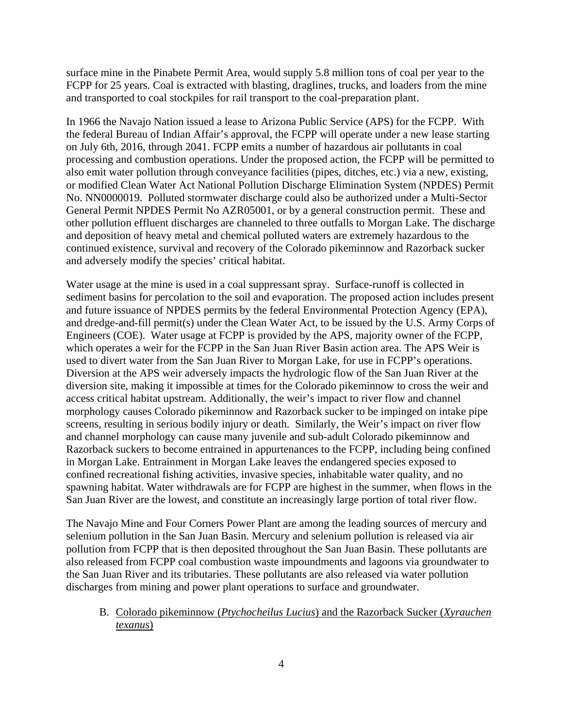surface mine in the Pinabete Permit Area, would supply 5.8 million tons of coal per year to the FCPP for 25 years. Coal is extracted with blasting, draglines, trucks, and loaders from the mine and transported to coal stockpiles for rail transport to the coal-preparation plant.

In 1966 the Navajo Nation issued a lease to Arizona Public Service (APS) for the FCPP. With the federal Bureau of Indian Affair's approval, the FCPP will operate under a new lease starting on July 6th, 2016, through 2041. FCPP emits a number of hazardous air pollutants in coal processing and combustion operations. Under the proposed action, the FCPP will be permitted to also emit water pollution through conveyance facilities (pipes, ditches, etc.) via a new, existing, or modified Clean Water Act National Pollution Discharge Elimination System (NPDES) Permit No. NN0000019. Polluted stormwater discharge could also be authorized under a Multi-Sector General Permit NPDES Permit No AZR05001, or by a general construction permit. These and other pollution effluent discharges are channeled to three outfalls to Morgan Lake. The discharge and deposition of heavy metal and chemical polluted waters are extremely hazardous to the continued existence, survival and recovery of the Colorado pikeminnow and Razorback sucker and adversely modify the species' critical habitat.

Water usage at the mine is used in a coal suppressant spray. Surface-runoff is collected in sediment basins for percolation to the soil and evaporation. The proposed action includes present and future issuance of NPDES permits by the federal Environmental Protection Agency (EPA), and dredge-and-fill permit(s) under the Clean Water Act, to be issued by the U.S. Army Corps of Engineers (COE). Water usage at FCPP is provided by the APS, majority owner of the FCPP, which operates a weir for the FCPP in the San Juan River Basin action area. The APS Weir is used to divert water from the San Juan River to Morgan Lake, for use in FCPP's operations. Diversion at the APS weir adversely impacts the hydrologic flow of the San Juan River at the diversion site, making it impossible at times for the Colorado pikeminnow to cross the weir and access critical habitat upstream. Additionally, the weir's impact to river flow and channel morphology causes Colorado pikeminnow and Razorback sucker to be impinged on intake pipe screens, resulting in serious bodily injury or death. Similarly, the Weir's impact on river flow and channel morphology can cause many juvenile and sub-adult Colorado pikeminnow and Razorback suckers to become entrained in appurtenances to the FCPP, including being confined in Morgan Lake. Entrainment in Morgan Lake leaves the endangered species exposed to confined recreational fishing activities, invasive species, inhabitable water quality, and no spawning habitat. Water withdrawals are for FCPP are highest in the summer, when flows in the San Juan River are the lowest, and constitute an increasingly large portion of total river flow.

The Navajo Mine and Four Corners Power Plant are among the leading sources of mercury and selenium pollution in the San Juan Basin. Mercury and selenium pollution is released via air pollution from FCPP that is then deposited throughout the San Juan Basin. These pollutants are also released from FCPP coal combustion waste impoundments and lagoons via groundwater to the San Juan River and its tributaries. These pollutants are also released via water pollution discharges from mining and power plant operations to surface and groundwater.

B. Colorado pikeminnow (*Ptychocheilus Lucius*) and the Razorback Sucker (*Xyrauchen texanus*)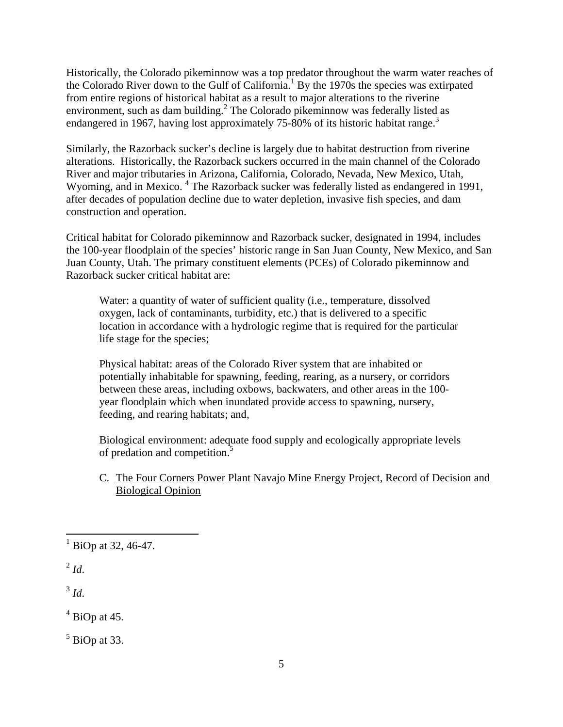Historically, the Colorado pikeminnow was a top predator throughout the warm water reaches of the Colorado River down to the Gulf of California.<sup>1</sup> By the 1970s the species was extirpated from entire regions of historical habitat as a result to major alterations to the riverine environment, such as dam building.<sup>2</sup> The Colorado pikeminnow was federally listed as endangered in 1967, having lost approximately 75-80% of its historic habitat range.<sup>3</sup>

Similarly, the Razorback sucker's decline is largely due to habitat destruction from riverine alterations. Historically, the Razorback suckers occurred in the main channel of the Colorado River and major tributaries in Arizona, California, Colorado, Nevada, New Mexico, Utah, Wyoming, and in Mexico.<sup>4</sup> The Razorback sucker was federally listed as endangered in 1991, after decades of population decline due to water depletion, invasive fish species, and dam construction and operation.

Critical habitat for Colorado pikeminnow and Razorback sucker, designated in 1994, includes the 100-year floodplain of the species' historic range in San Juan County, New Mexico, and San Juan County, Utah. The primary constituent elements (PCEs) of Colorado pikeminnow and Razorback sucker critical habitat are:

Water: a quantity of water of sufficient quality (i.e., temperature, dissolved oxygen, lack of contaminants, turbidity, etc.) that is delivered to a specific location in accordance with a hydrologic regime that is required for the particular life stage for the species;

Physical habitat: areas of the Colorado River system that are inhabited or potentially inhabitable for spawning, feeding, rearing, as a nursery, or corridors between these areas, including oxbows, backwaters, and other areas in the 100 year floodplain which when inundated provide access to spawning, nursery, feeding, and rearing habitats; and,

Biological environment: adequate food supply and ecologically appropriate levels of predation and competition.5

## C. The Four Corners Power Plant Navajo Mine Energy Project, Record of Decision and Biological Opinion

 $^{2}$  *Id*.

 $3 \dot{d}$ 

 $<sup>4</sup>$  BiOp at 45.</sup>

 $<sup>5</sup>$  BiOp at 33.</sup>

 $\frac{1}{1}$  BiOp at 32, 46-47.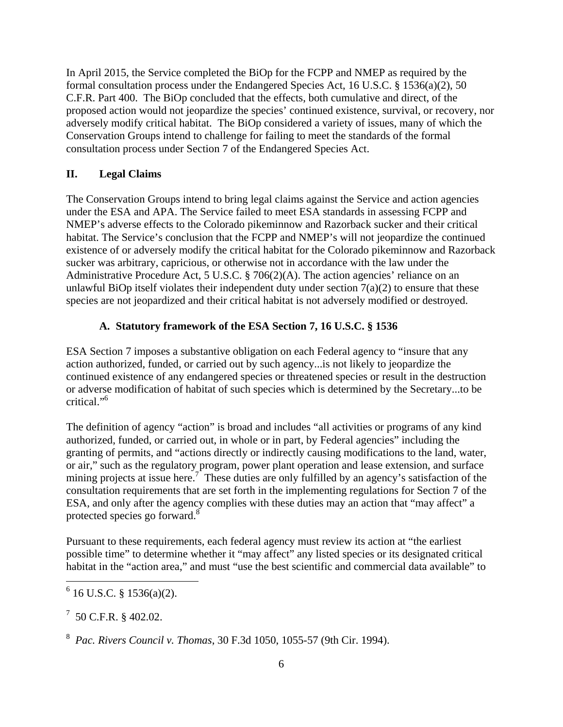In April 2015, the Service completed the BiOp for the FCPP and NMEP as required by the formal consultation process under the Endangered Species Act, 16 U.S.C. § 1536(a)(2), 50 C.F.R. Part 400. The BiOp concluded that the effects, both cumulative and direct, of the proposed action would not jeopardize the species' continued existence, survival, or recovery, nor adversely modify critical habitat. The BiOp considered a variety of issues, many of which the Conservation Groups intend to challenge for failing to meet the standards of the formal consultation process under Section 7 of the Endangered Species Act.

## **II. Legal Claims**

The Conservation Groups intend to bring legal claims against the Service and action agencies under the ESA and APA. The Service failed to meet ESA standards in assessing FCPP and NMEP's adverse effects to the Colorado pikeminnow and Razorback sucker and their critical habitat. The Service's conclusion that the FCPP and NMEP's will not jeopardize the continued existence of or adversely modify the critical habitat for the Colorado pikeminnow and Razorback sucker was arbitrary, capricious, or otherwise not in accordance with the law under the Administrative Procedure Act, 5 U.S.C. § 706(2)(A). The action agencies' reliance on an unlawful BiOp itself violates their independent duty under section  $7(a)(2)$  to ensure that these species are not jeopardized and their critical habitat is not adversely modified or destroyed.

## **A. Statutory framework of the ESA Section 7, 16 U.S.C. § 1536**

ESA Section 7 imposes a substantive obligation on each Federal agency to "insure that any action authorized, funded, or carried out by such agency...is not likely to jeopardize the continued existence of any endangered species or threatened species or result in the destruction or adverse modification of habitat of such species which is determined by the Secretary...to be critical."6

The definition of agency "action" is broad and includes "all activities or programs of any kind authorized, funded, or carried out, in whole or in part, by Federal agencies" including the granting of permits, and "actions directly or indirectly causing modifications to the land, water, or air," such as the regulatory program, power plant operation and lease extension, and surface mining projects at issue here.<sup>7</sup> These duties are only fulfilled by an agency's satisfaction of the consultation requirements that are set forth in the implementing regulations for Section 7 of the ESA, and only after the agency complies with these duties may an action that "may affect" a protected species go forward.8

Pursuant to these requirements, each federal agency must review its action at "the earliest possible time" to determine whether it "may affect" any listed species or its designated critical habitat in the "action area," and must "use the best scientific and commercial data available" to

 $17$  50 C.F.R. § 402.02.

 $6$  16 U.S.C. § 1536(a)(2).

<sup>8</sup> *Pac. Rivers Council v. Thomas*, 30 F.3d 1050, 1055-57 (9th Cir. 1994).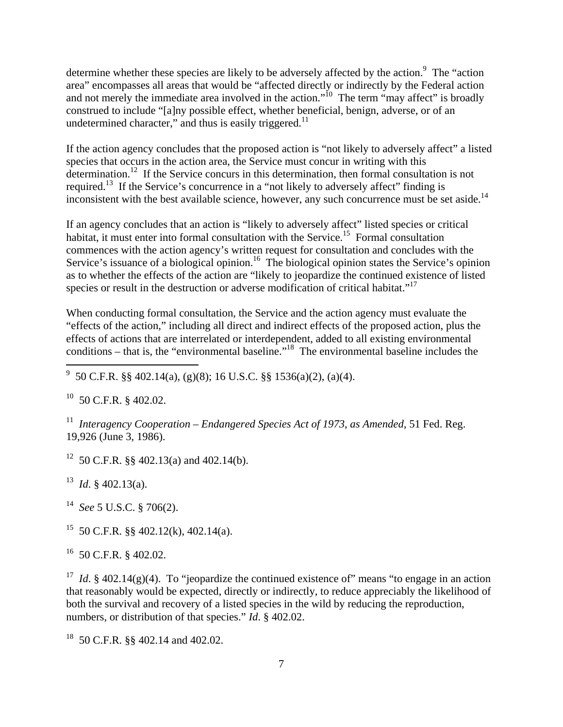determine whether these species are likely to be adversely affected by the action.<sup>9</sup> The "action area" encompasses all areas that would be "affected directly or indirectly by the Federal action and not merely the immediate area involved in the action."<sup>10</sup> The term "may affect" is broadly construed to include "[a]ny possible effect, whether beneficial, benign, adverse, or of an undetermined character," and thus is easily triggered.<sup>11</sup>

If the action agency concludes that the proposed action is "not likely to adversely affect" a listed species that occurs in the action area, the Service must concur in writing with this determination.<sup>12</sup> If the Service concurs in this determination, then formal consultation is not required.<sup>13</sup> If the Service's concurrence in a "not likely to adversely affect" finding is inconsistent with the best available science, however, any such concurrence must be set aside.<sup>14</sup>

If an agency concludes that an action is "likely to adversely affect" listed species or critical habitat, it must enter into formal consultation with the Service.<sup>15</sup> Formal consultation commences with the action agency's written request for consultation and concludes with the Service's issuance of a biological opinion.<sup>16</sup> The biological opinion states the Service's opinion as to whether the effects of the action are "likely to jeopardize the continued existence of listed species or result in the destruction or adverse modification of critical habitat."<sup>17</sup>

When conducting formal consultation, the Service and the action agency must evaluate the "effects of the action," including all direct and indirect effects of the proposed action, plus the effects of actions that are interrelated or interdependent, added to all existing environmental conditions – that is, the "environmental baseline."<sup>18</sup> The environmental baseline includes the

 $10$  50 C.F.R. § 402.02.

11 *Interagency Cooperation – Endangered Species Act of 1973*, *as Amended*, 51 Fed. Reg. 19,926 (June 3, 1986).

<sup>12</sup> 50 C.F.R. §§ 402.13(a) and 402.14(b).

 $13$  *Id.* § 402.13(a).

14 *See* 5 U.S.C. § 706(2).

<sup>15</sup> 50 C.F.R. §§ 402.12(k), 402.14(a).

16 50 C.F.R. § 402.02.

<sup>17</sup> *Id.* § 402.14(g)(4). To "jeopardize the continued existence of" means "to engage in an action that reasonably would be expected, directly or indirectly, to reduce appreciably the likelihood of both the survival and recovery of a listed species in the wild by reducing the reproduction, numbers, or distribution of that species." *Id*. § 402.02.

18 50 C.F.R. §§ 402.14 and 402.02.

 $\frac{9}{9}$  50 C.F.R. §§ 402.14(a), (g)(8); 16 U.S.C. §§ 1536(a)(2), (a)(4).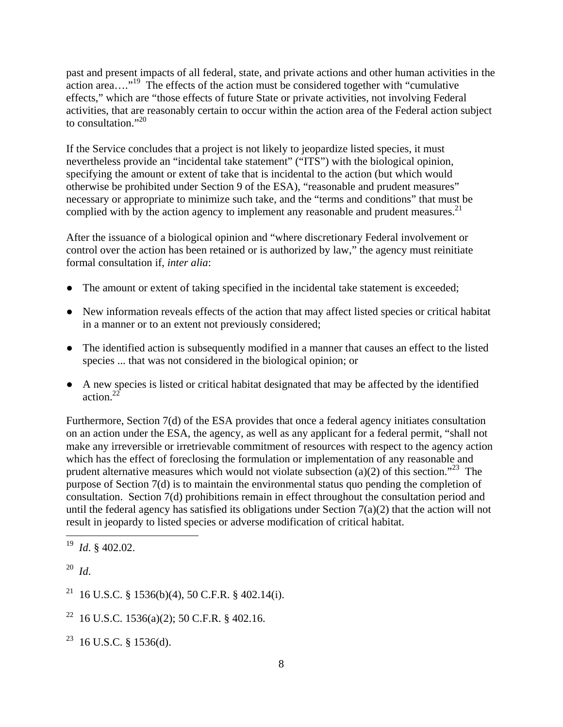past and present impacts of all federal, state, and private actions and other human activities in the action area…."19 The effects of the action must be considered together with "cumulative effects," which are "those effects of future State or private activities, not involving Federal activities, that are reasonably certain to occur within the action area of the Federal action subject to consultation."<sup>20</sup>

If the Service concludes that a project is not likely to jeopardize listed species, it must nevertheless provide an "incidental take statement" ("ITS") with the biological opinion, specifying the amount or extent of take that is incidental to the action (but which would otherwise be prohibited under Section 9 of the ESA), "reasonable and prudent measures" necessary or appropriate to minimize such take, and the "terms and conditions" that must be complied with by the action agency to implement any reasonable and prudent measures. $^{21}$ 

After the issuance of a biological opinion and "where discretionary Federal involvement or control over the action has been retained or is authorized by law," the agency must reinitiate formal consultation if, *inter alia*:

- The amount or extent of taking specified in the incidental take statement is exceeded;
- New information reveals effects of the action that may affect listed species or critical habitat in a manner or to an extent not previously considered;
- The identified action is subsequently modified in a manner that causes an effect to the listed species ... that was not considered in the biological opinion; or
- A new species is listed or critical habitat designated that may be affected by the identified action. $22$

Furthermore, Section 7(d) of the ESA provides that once a federal agency initiates consultation on an action under the ESA, the agency, as well as any applicant for a federal permit, "shall not make any irreversible or irretrievable commitment of resources with respect to the agency action which has the effect of foreclosing the formulation or implementation of any reasonable and prudent alternative measures which would not violate subsection (a)(2) of this section."<sup>23</sup> The purpose of Section 7(d) is to maintain the environmental status quo pending the completion of consultation. Section 7(d) prohibitions remain in effect throughout the consultation period and until the federal agency has satisfied its obligations under Section  $7(a)(2)$  that the action will not result in jeopardy to listed species or adverse modification of critical habitat.

- <sup>21</sup> 16 U.S.C. § 1536(b)(4), 50 C.F.R. § 402.14(i).
- <sup>22</sup> 16 U.S.C. 1536(a)(2); 50 C.F.R. § 402.16.
- $23$  16 U.S.C. § 1536(d).

<sup>19</sup> 19 *Id*. § 402.02.

<sup>20</sup> *Id*.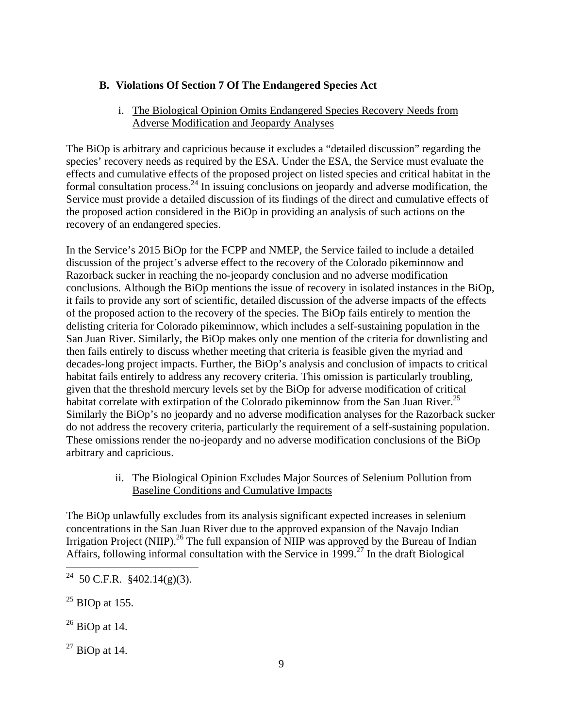## **B. Violations Of Section 7 Of The Endangered Species Act**

## i. The Biological Opinion Omits Endangered Species Recovery Needs from Adverse Modification and Jeopardy Analyses

The BiOp is arbitrary and capricious because it excludes a "detailed discussion" regarding the species' recovery needs as required by the ESA. Under the ESA, the Service must evaluate the effects and cumulative effects of the proposed project on listed species and critical habitat in the formal consultation process.<sup>24</sup> In issuing conclusions on jeopardy and adverse modification, the Service must provide a detailed discussion of its findings of the direct and cumulative effects of the proposed action considered in the BiOp in providing an analysis of such actions on the recovery of an endangered species.

In the Service's 2015 BiOp for the FCPP and NMEP, the Service failed to include a detailed discussion of the project's adverse effect to the recovery of the Colorado pikeminnow and Razorback sucker in reaching the no-jeopardy conclusion and no adverse modification conclusions. Although the BiOp mentions the issue of recovery in isolated instances in the BiOp, it fails to provide any sort of scientific, detailed discussion of the adverse impacts of the effects of the proposed action to the recovery of the species. The BiOp fails entirely to mention the delisting criteria for Colorado pikeminnow, which includes a self-sustaining population in the San Juan River. Similarly, the BiOp makes only one mention of the criteria for downlisting and then fails entirely to discuss whether meeting that criteria is feasible given the myriad and decades-long project impacts. Further, the BiOp's analysis and conclusion of impacts to critical habitat fails entirely to address any recovery criteria. This omission is particularly troubling, given that the threshold mercury levels set by the BiOp for adverse modification of critical habitat correlate with extirpation of the Colorado pikeminnow from the San Juan River.<sup>25</sup> Similarly the BiOp's no jeopardy and no adverse modification analyses for the Razorback sucker do not address the recovery criteria, particularly the requirement of a self-sustaining population. These omissions render the no-jeopardy and no adverse modification conclusions of the BiOp arbitrary and capricious.

## ii. The Biological Opinion Excludes Major Sources of Selenium Pollution from Baseline Conditions and Cumulative Impacts

The BiOp unlawfully excludes from its analysis significant expected increases in selenium concentrations in the San Juan River due to the approved expansion of the Navajo Indian Irrigation Project (NIIP).<sup>26</sup> The full expansion of NIIP was approved by the Bureau of Indian Affairs, following informal consultation with the Service in 1999.<sup>27</sup> In the draft Biological

- $^{25}$  BIOp at 155.
- $26$  BiOp at 14.

 $^{27}$  BiOp at 14.

 $\overline{a}$ <sup>24</sup> 50 C.F.R. §402.14(g)(3).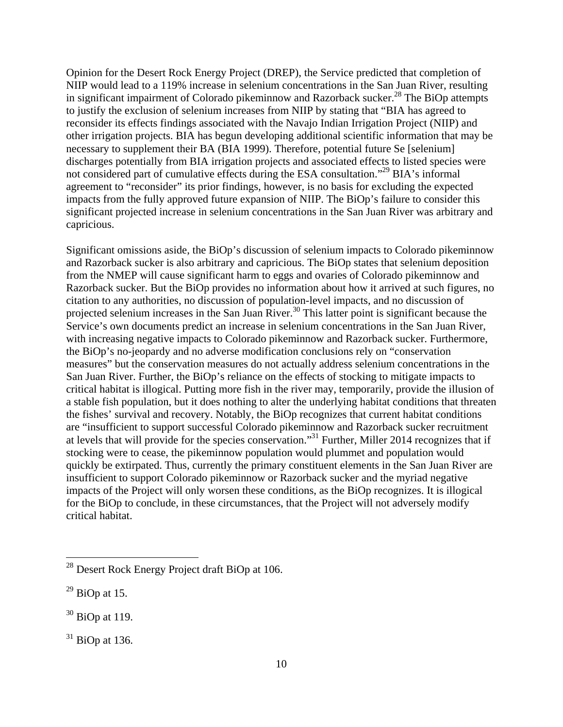Opinion for the Desert Rock Energy Project (DREP), the Service predicted that completion of NIIP would lead to a 119% increase in selenium concentrations in the San Juan River, resulting in significant impairment of Colorado pikeminnow and Razorback sucker.<sup>28</sup> The BiOp attempts to justify the exclusion of selenium increases from NIIP by stating that "BIA has agreed to reconsider its effects findings associated with the Navajo Indian Irrigation Project (NIIP) and other irrigation projects. BIA has begun developing additional scientific information that may be necessary to supplement their BA (BIA 1999). Therefore, potential future Se [selenium] discharges potentially from BIA irrigation projects and associated effects to listed species were not considered part of cumulative effects during the ESA consultation."<sup>29</sup> BIA's informal agreement to "reconsider" its prior findings, however, is no basis for excluding the expected impacts from the fully approved future expansion of NIIP. The BiOp's failure to consider this significant projected increase in selenium concentrations in the San Juan River was arbitrary and capricious.

Significant omissions aside, the BiOp's discussion of selenium impacts to Colorado pikeminnow and Razorback sucker is also arbitrary and capricious. The BiOp states that selenium deposition from the NMEP will cause significant harm to eggs and ovaries of Colorado pikeminnow and Razorback sucker. But the BiOp provides no information about how it arrived at such figures, no citation to any authorities, no discussion of population-level impacts, and no discussion of projected selenium increases in the San Juan River.<sup>30</sup> This latter point is significant because the Service's own documents predict an increase in selenium concentrations in the San Juan River, with increasing negative impacts to Colorado pikeminnow and Razorback sucker. Furthermore, the BiOp's no-jeopardy and no adverse modification conclusions rely on "conservation measures" but the conservation measures do not actually address selenium concentrations in the San Juan River. Further, the BiOp's reliance on the effects of stocking to mitigate impacts to critical habitat is illogical. Putting more fish in the river may, temporarily, provide the illusion of a stable fish population, but it does nothing to alter the underlying habitat conditions that threaten the fishes' survival and recovery. Notably, the BiOp recognizes that current habitat conditions are "insufficient to support successful Colorado pikeminnow and Razorback sucker recruitment at levels that will provide for the species conservation."31 Further, Miller 2014 recognizes that if stocking were to cease, the pikeminnow population would plummet and population would quickly be extirpated. Thus, currently the primary constituent elements in the San Juan River are insufficient to support Colorado pikeminnow or Razorback sucker and the myriad negative impacts of the Project will only worsen these conditions, as the BiOp recognizes. It is illogical for the BiOp to conclude, in these circumstances, that the Project will not adversely modify critical habitat.

 $^{28}$  Desert Rock Energy Project draft BiOp at 106.

 $^{29}$  BiOp at 15.

 $30$  BiOp at 119.

 $31$  BiOp at 136.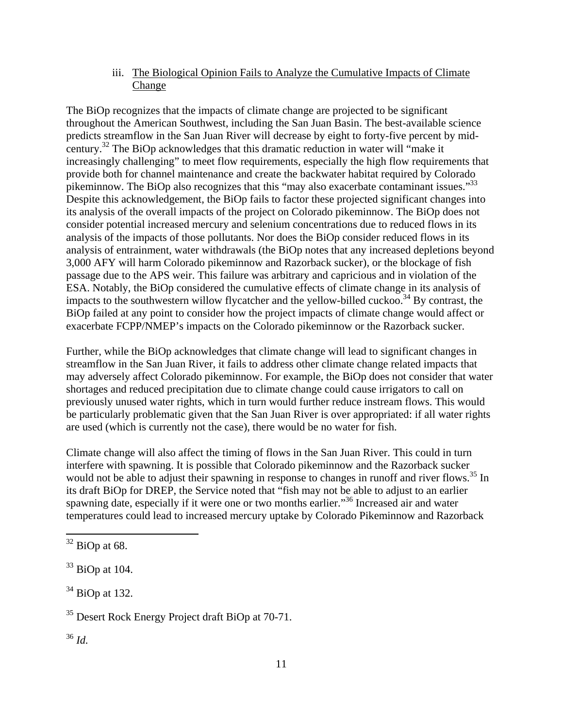iii. The Biological Opinion Fails to Analyze the Cumulative Impacts of Climate Change

The BiOp recognizes that the impacts of climate change are projected to be significant throughout the American Southwest, including the San Juan Basin. The best-available science predicts streamflow in the San Juan River will decrease by eight to forty-five percent by midcentury.32 The BiOp acknowledges that this dramatic reduction in water will "make it increasingly challenging" to meet flow requirements, especially the high flow requirements that provide both for channel maintenance and create the backwater habitat required by Colorado pikeminnow. The BiOp also recognizes that this "may also exacerbate contaminant issues."<sup>33</sup> Despite this acknowledgement, the BiOp fails to factor these projected significant changes into its analysis of the overall impacts of the project on Colorado pikeminnow. The BiOp does not consider potential increased mercury and selenium concentrations due to reduced flows in its analysis of the impacts of those pollutants. Nor does the BiOp consider reduced flows in its analysis of entrainment, water withdrawals (the BiOp notes that any increased depletions beyond 3,000 AFY will harm Colorado pikeminnow and Razorback sucker), or the blockage of fish passage due to the APS weir. This failure was arbitrary and capricious and in violation of the ESA. Notably, the BiOp considered the cumulative effects of climate change in its analysis of impacts to the southwestern willow flycatcher and the yellow-billed cuckoo.<sup>34</sup> By contrast, the BiOp failed at any point to consider how the project impacts of climate change would affect or exacerbate FCPP/NMEP's impacts on the Colorado pikeminnow or the Razorback sucker.

Further, while the BiOp acknowledges that climate change will lead to significant changes in streamflow in the San Juan River, it fails to address other climate change related impacts that may adversely affect Colorado pikeminnow. For example, the BiOp does not consider that water shortages and reduced precipitation due to climate change could cause irrigators to call on previously unused water rights, which in turn would further reduce instream flows. This would be particularly problematic given that the San Juan River is over appropriated: if all water rights are used (which is currently not the case), there would be no water for fish.

Climate change will also affect the timing of flows in the San Juan River. This could in turn interfere with spawning. It is possible that Colorado pikeminnow and the Razorback sucker would not be able to adjust their spawning in response to changes in runoff and river flows.<sup>35</sup> In its draft BiOp for DREP, the Service noted that "fish may not be able to adjust to an earlier spawning date, especially if it were one or two months earlier.<sup>356</sup> Increased air and water temperatures could lead to increased mercury uptake by Colorado Pikeminnow and Razorback

<sup>36</sup> *Id.*

 $\overline{a}$  $32$  BiOp at 68.

 $33$  BiOp at 104.

 $34$  BiOp at 132.

<sup>&</sup>lt;sup>35</sup> Desert Rock Energy Project draft BiOp at 70-71.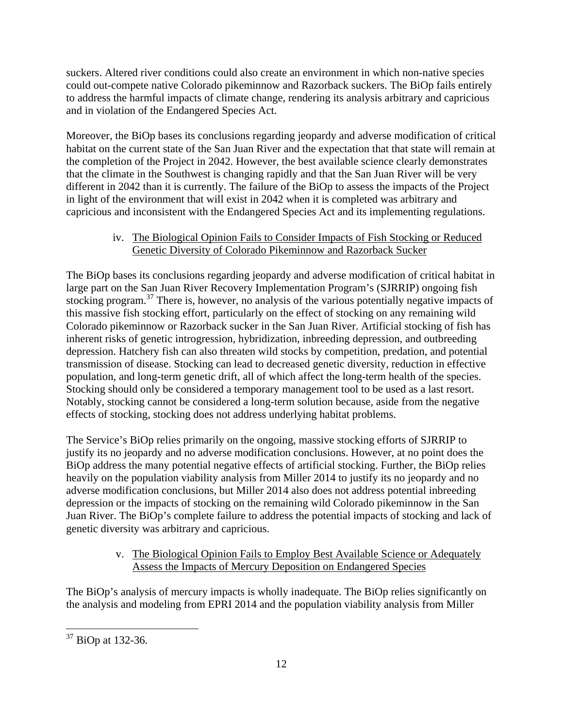suckers. Altered river conditions could also create an environment in which non-native species could out-compete native Colorado pikeminnow and Razorback suckers. The BiOp fails entirely to address the harmful impacts of climate change, rendering its analysis arbitrary and capricious and in violation of the Endangered Species Act.

Moreover, the BiOp bases its conclusions regarding jeopardy and adverse modification of critical habitat on the current state of the San Juan River and the expectation that that state will remain at the completion of the Project in 2042. However, the best available science clearly demonstrates that the climate in the Southwest is changing rapidly and that the San Juan River will be very different in 2042 than it is currently. The failure of the BiOp to assess the impacts of the Project in light of the environment that will exist in 2042 when it is completed was arbitrary and capricious and inconsistent with the Endangered Species Act and its implementing regulations.

## iv. The Biological Opinion Fails to Consider Impacts of Fish Stocking or Reduced Genetic Diversity of Colorado Pikeminnow and Razorback Sucker

The BiOp bases its conclusions regarding jeopardy and adverse modification of critical habitat in large part on the San Juan River Recovery Implementation Program's (SJRRIP) ongoing fish stocking program.<sup>37</sup> There is, however, no analysis of the various potentially negative impacts of this massive fish stocking effort, particularly on the effect of stocking on any remaining wild Colorado pikeminnow or Razorback sucker in the San Juan River. Artificial stocking of fish has inherent risks of genetic introgression, hybridization, inbreeding depression, and outbreeding depression. Hatchery fish can also threaten wild stocks by competition, predation, and potential transmission of disease. Stocking can lead to decreased genetic diversity, reduction in effective population, and long-term genetic drift, all of which affect the long-term health of the species. Stocking should only be considered a temporary management tool to be used as a last resort. Notably, stocking cannot be considered a long-term solution because, aside from the negative effects of stocking, stocking does not address underlying habitat problems.

The Service's BiOp relies primarily on the ongoing, massive stocking efforts of SJRRIP to justify its no jeopardy and no adverse modification conclusions. However, at no point does the BiOp address the many potential negative effects of artificial stocking. Further, the BiOp relies heavily on the population viability analysis from Miller 2014 to justify its no jeopardy and no adverse modification conclusions, but Miller 2014 also does not address potential inbreeding depression or the impacts of stocking on the remaining wild Colorado pikeminnow in the San Juan River. The BiOp's complete failure to address the potential impacts of stocking and lack of genetic diversity was arbitrary and capricious.

## v. The Biological Opinion Fails to Employ Best Available Science or Adequately Assess the Impacts of Mercury Deposition on Endangered Species

The BiOp's analysis of mercury impacts is wholly inadequate. The BiOp relies significantly on the analysis and modeling from EPRI 2014 and the population viability analysis from Miller

 $\overline{a}$  $37$  BiOp at 132-36.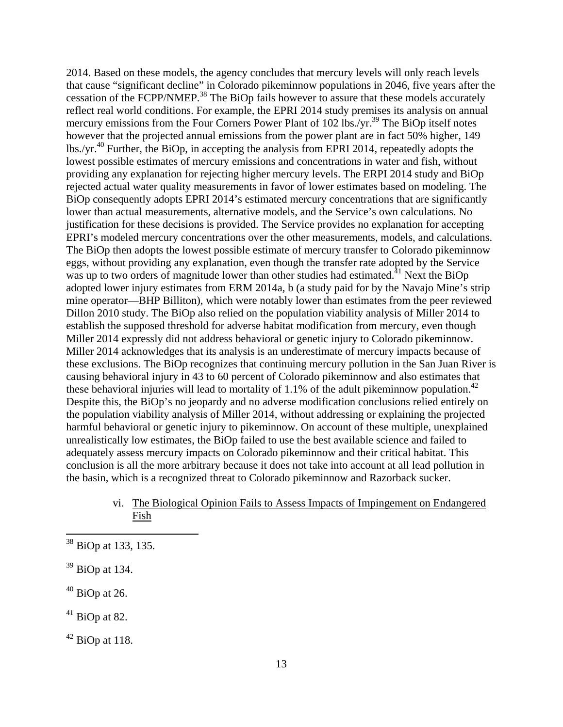2014. Based on these models, the agency concludes that mercury levels will only reach levels that cause "significant decline" in Colorado pikeminnow populations in 2046, five years after the cessation of the FCPP/NMEP.<sup>38</sup> The BiOp fails however to assure that these models accurately reflect real world conditions. For example, the EPRI 2014 study premises its analysis on annual mercury emissions from the Four Corners Power Plant of 102 lbs./yr.<sup>39</sup> The BiOp itself notes however that the projected annual emissions from the power plant are in fact 50% higher, 149 lbs./yr.<sup>40</sup> Further, the BiOp, in accepting the analysis from EPRI 2014, repeatedly adopts the lowest possible estimates of mercury emissions and concentrations in water and fish, without providing any explanation for rejecting higher mercury levels. The ERPI 2014 study and BiOp rejected actual water quality measurements in favor of lower estimates based on modeling. The BiOp consequently adopts EPRI 2014's estimated mercury concentrations that are significantly lower than actual measurements, alternative models, and the Service's own calculations. No justification for these decisions is provided. The Service provides no explanation for accepting EPRI's modeled mercury concentrations over the other measurements, models, and calculations. The BiOp then adopts the lowest possible estimate of mercury transfer to Colorado pikeminnow eggs, without providing any explanation, even though the transfer rate adopted by the Service was up to two orders of magnitude lower than other studies had estimated.<sup>41</sup> Next the BiOp adopted lower injury estimates from ERM 2014a, b (a study paid for by the Navajo Mine's strip mine operator—BHP Billiton), which were notably lower than estimates from the peer reviewed Dillon 2010 study. The BiOp also relied on the population viability analysis of Miller 2014 to establish the supposed threshold for adverse habitat modification from mercury, even though Miller 2014 expressly did not address behavioral or genetic injury to Colorado pikeminnow. Miller 2014 acknowledges that its analysis is an underestimate of mercury impacts because of these exclusions. The BiOp recognizes that continuing mercury pollution in the San Juan River is causing behavioral injury in 43 to 60 percent of Colorado pikeminnow and also estimates that these behavioral injuries will lead to mortality of 1.1% of the adult pikeminnow population.<sup>42</sup> Despite this, the BiOp's no jeopardy and no adverse modification conclusions relied entirely on the population viability analysis of Miller 2014, without addressing or explaining the projected harmful behavioral or genetic injury to pikeminnow. On account of these multiple, unexplained unrealistically low estimates, the BiOp failed to use the best available science and failed to adequately assess mercury impacts on Colorado pikeminnow and their critical habitat. This conclusion is all the more arbitrary because it does not take into account at all lead pollution in the basin, which is a recognized threat to Colorado pikeminnow and Razorback sucker.

> vi. The Biological Opinion Fails to Assess Impacts of Impingement on Endangered Fish

<sup>&</sup>lt;sup>38</sup> BiOp at 133, 135.

<sup>39</sup> BiOp at 134.

 $40$  BiOp at 26.

 $41$  BiOp at 82.

 $42$  BiOp at 118.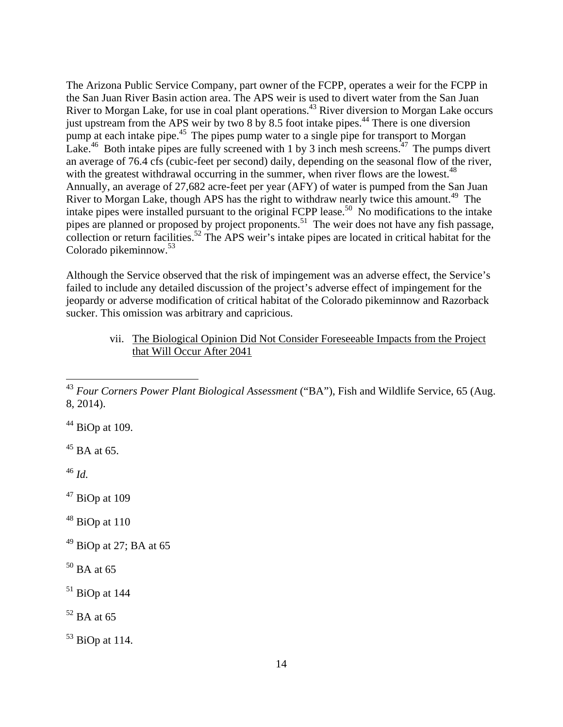The Arizona Public Service Company, part owner of the FCPP, operates a weir for the FCPP in the San Juan River Basin action area. The APS weir is used to divert water from the San Juan River to Morgan Lake, for use in coal plant operations.<sup>43</sup> River diversion to Morgan Lake occurs just upstream from the APS weir by two 8 by 8.5 foot intake pipes.<sup>44</sup> There is one diversion pump at each intake pipe.<sup>45</sup> The pipes pump water to a single pipe for transport to Morgan Lake.<sup>46</sup> Both intake pipes are fully screened with 1 by 3 inch mesh screens.<sup>47</sup> The pumps divert an average of 76.4 cfs (cubic-feet per second) daily, depending on the seasonal flow of the river, with the greatest withdrawal occurring in the summer, when river flows are the lowest.<sup>48</sup> Annually, an average of 27,682 acre-feet per year (AFY) of water is pumped from the San Juan River to Morgan Lake, though APS has the right to withdraw nearly twice this amount.<sup>49</sup> The intake pipes were installed pursuant to the original FCPP lease.<sup>50</sup> No modifications to the intake pipes are planned or proposed by project proponents.<sup>51</sup> The weir does not have any fish passage, collection or return facilities.<sup>52</sup> The APS weir's intake pipes are located in critical habitat for the Colorado pikeminnow.<sup>53</sup>

Although the Service observed that the risk of impingement was an adverse effect, the Service's failed to include any detailed discussion of the project's adverse effect of impingement for the jeopardy or adverse modification of critical habitat of the Colorado pikeminnow and Razorback sucker. This omission was arbitrary and capricious.

> vii. The Biological Opinion Did Not Consider Foreseeable Impacts from the Project that Will Occur After 2041

 $44$  BiOp at 109.

 $45$  BA at 65.

<sup>46</sup> *Id.*

 $\overline{a}$ 

 $47$  BiOp at 109

- $48$  BiOp at 110
- $49$  BiOp at 27; BA at 65
- $50$  BA at 65

<sup>43</sup> *Four Corners Power Plant Biological Assessment* ("BA"), Fish and Wildlife Service, 65 (Aug. 8, 2014).

 $51$  BiOp at 144

 $52$  BA at 65

 $53$  BiOp at 114.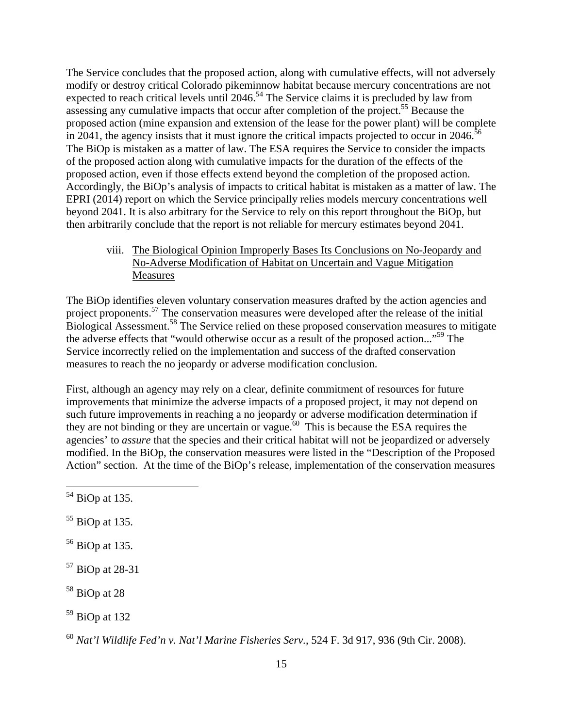The Service concludes that the proposed action, along with cumulative effects, will not adversely modify or destroy critical Colorado pikeminnow habitat because mercury concentrations are not expected to reach critical levels until  $2046$ <sup>54</sup>. The Service claims it is precluded by law from assessing any cumulative impacts that occur after completion of the project.<sup>55</sup> Because the proposed action (mine expansion and extension of the lease for the power plant) will be complete in 2041, the agency insists that it must ignore the critical impacts projected to occur in 2046.<sup>56</sup> The BiOp is mistaken as a matter of law. The ESA requires the Service to consider the impacts of the proposed action along with cumulative impacts for the duration of the effects of the proposed action, even if those effects extend beyond the completion of the proposed action. Accordingly, the BiOp's analysis of impacts to critical habitat is mistaken as a matter of law. The EPRI (2014) report on which the Service principally relies models mercury concentrations well beyond 2041. It is also arbitrary for the Service to rely on this report throughout the BiOp, but then arbitrarily conclude that the report is not reliable for mercury estimates beyond 2041.

viii. The Biological Opinion Improperly Bases Its Conclusions on No-Jeopardy and No-Adverse Modification of Habitat on Uncertain and Vague Mitigation Measures

The BiOp identifies eleven voluntary conservation measures drafted by the action agencies and project proponents.<sup>57</sup> The conservation measures were developed after the release of the initial Biological Assessment.<sup>58</sup> The Service relied on these proposed conservation measures to mitigate the adverse effects that "would otherwise occur as a result of the proposed action..."59 The Service incorrectly relied on the implementation and success of the drafted conservation measures to reach the no jeopardy or adverse modification conclusion.

First, although an agency may rely on a clear, definite commitment of resources for future improvements that minimize the adverse impacts of a proposed project, it may not depend on such future improvements in reaching a no jeopardy or adverse modification determination if they are not binding or they are uncertain or vague.<sup>60</sup> This is because the ESA requires the agencies' to *assure* that the species and their critical habitat will not be jeopardized or adversely modified. In the BiOp, the conservation measures were listed in the "Description of the Proposed Action" section. At the time of the BiOp's release, implementation of the conservation measures

1

- $55$  BiOp at 135.
- 56 BiOp at 135.
- 57 BiOp at 28-31
- 58 BiOp at 28
- 59 BiOp at 132

 $54$  BiOp at 135.

<sup>60</sup> *Nat'l Wildlife Fed'n v. Nat'l Marine Fisheries Serv.*, 524 F. 3d 917, 936 (9th Cir. 2008).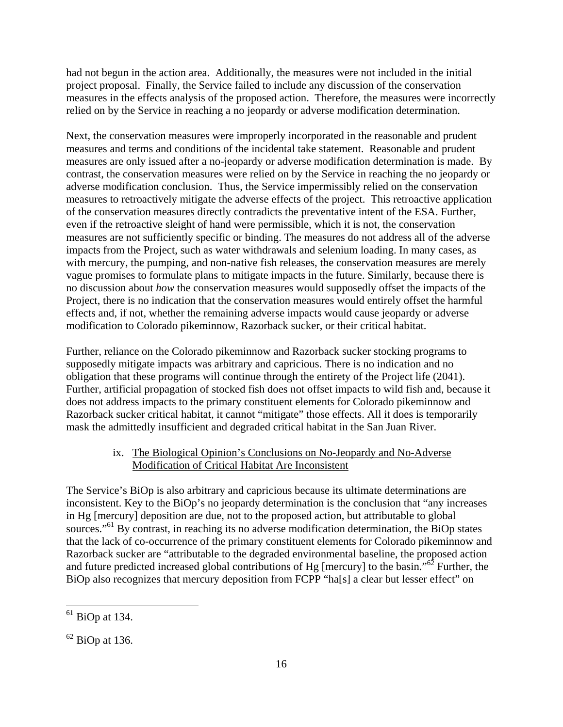had not begun in the action area. Additionally, the measures were not included in the initial project proposal. Finally, the Service failed to include any discussion of the conservation measures in the effects analysis of the proposed action. Therefore, the measures were incorrectly relied on by the Service in reaching a no jeopardy or adverse modification determination.

Next, the conservation measures were improperly incorporated in the reasonable and prudent measures and terms and conditions of the incidental take statement. Reasonable and prudent measures are only issued after a no-jeopardy or adverse modification determination is made. By contrast, the conservation measures were relied on by the Service in reaching the no jeopardy or adverse modification conclusion. Thus, the Service impermissibly relied on the conservation measures to retroactively mitigate the adverse effects of the project. This retroactive application of the conservation measures directly contradicts the preventative intent of the ESA. Further, even if the retroactive sleight of hand were permissible, which it is not, the conservation measures are not sufficiently specific or binding. The measures do not address all of the adverse impacts from the Project, such as water withdrawals and selenium loading. In many cases, as with mercury, the pumping, and non-native fish releases, the conservation measures are merely vague promises to formulate plans to mitigate impacts in the future. Similarly, because there is no discussion about *how* the conservation measures would supposedly offset the impacts of the Project, there is no indication that the conservation measures would entirely offset the harmful effects and, if not, whether the remaining adverse impacts would cause jeopardy or adverse modification to Colorado pikeminnow, Razorback sucker, or their critical habitat.

Further, reliance on the Colorado pikeminnow and Razorback sucker stocking programs to supposedly mitigate impacts was arbitrary and capricious. There is no indication and no obligation that these programs will continue through the entirety of the Project life (2041). Further, artificial propagation of stocked fish does not offset impacts to wild fish and, because it does not address impacts to the primary constituent elements for Colorado pikeminnow and Razorback sucker critical habitat, it cannot "mitigate" those effects. All it does is temporarily mask the admittedly insufficient and degraded critical habitat in the San Juan River.

#### ix. The Biological Opinion's Conclusions on No-Jeopardy and No-Adverse Modification of Critical Habitat Are Inconsistent

The Service's BiOp is also arbitrary and capricious because its ultimate determinations are inconsistent. Key to the BiOp's no jeopardy determination is the conclusion that "any increases in Hg [mercury] deposition are due, not to the proposed action, but attributable to global sources."<sup>61</sup> By contrast, in reaching its no adverse modification determination, the BiOp states that the lack of co-occurrence of the primary constituent elements for Colorado pikeminnow and Razorback sucker are "attributable to the degraded environmental baseline, the proposed action and future predicted increased global contributions of Hg [mercury] to the basin."62 Further, the BiOp also recognizes that mercury deposition from FCPP "ha[s] a clear but lesser effect" on

 $\overline{a}$  $<sup>61</sup>$  BiOp at 134.</sup>

 $62$  BiOp at 136.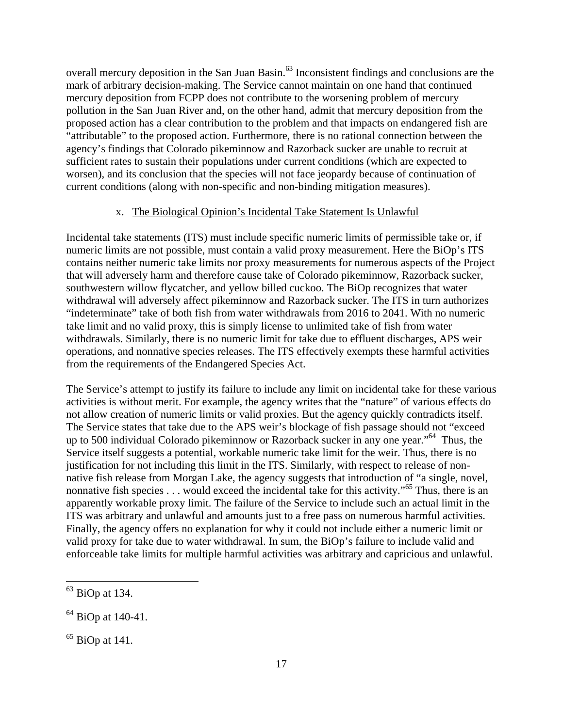overall mercury deposition in the San Juan Basin.<sup>63</sup> Inconsistent findings and conclusions are the mark of arbitrary decision-making. The Service cannot maintain on one hand that continued mercury deposition from FCPP does not contribute to the worsening problem of mercury pollution in the San Juan River and, on the other hand, admit that mercury deposition from the proposed action has a clear contribution to the problem and that impacts on endangered fish are "attributable" to the proposed action. Furthermore, there is no rational connection between the agency's findings that Colorado pikeminnow and Razorback sucker are unable to recruit at sufficient rates to sustain their populations under current conditions (which are expected to worsen), and its conclusion that the species will not face jeopardy because of continuation of current conditions (along with non-specific and non-binding mitigation measures).

#### x. The Biological Opinion's Incidental Take Statement Is Unlawful

Incidental take statements (ITS) must include specific numeric limits of permissible take or, if numeric limits are not possible, must contain a valid proxy measurement. Here the BiOp's ITS contains neither numeric take limits nor proxy measurements for numerous aspects of the Project that will adversely harm and therefore cause take of Colorado pikeminnow, Razorback sucker, southwestern willow flycatcher, and yellow billed cuckoo. The BiOp recognizes that water withdrawal will adversely affect pikeminnow and Razorback sucker. The ITS in turn authorizes "indeterminate" take of both fish from water withdrawals from 2016 to 2041. With no numeric take limit and no valid proxy, this is simply license to unlimited take of fish from water withdrawals. Similarly, there is no numeric limit for take due to effluent discharges, APS weir operations, and nonnative species releases. The ITS effectively exempts these harmful activities from the requirements of the Endangered Species Act.

The Service's attempt to justify its failure to include any limit on incidental take for these various activities is without merit. For example, the agency writes that the "nature" of various effects do not allow creation of numeric limits or valid proxies. But the agency quickly contradicts itself. The Service states that take due to the APS weir's blockage of fish passage should not "exceed up to 500 individual Colorado pikeminnow or Razorback sucker in any one year."64 Thus, the Service itself suggests a potential, workable numeric take limit for the weir. Thus, there is no justification for not including this limit in the ITS. Similarly, with respect to release of nonnative fish release from Morgan Lake, the agency suggests that introduction of "a single, novel, nonnative fish species . . . would exceed the incidental take for this activity."<sup>65</sup> Thus, there is an apparently workable proxy limit. The failure of the Service to include such an actual limit in the ITS was arbitrary and unlawful and amounts just to a free pass on numerous harmful activities. Finally, the agency offers no explanation for why it could not include either a numeric limit or valid proxy for take due to water withdrawal. In sum, the BiOp's failure to include valid and enforceable take limits for multiple harmful activities was arbitrary and capricious and unlawful.

 $63$  BiOp at 134.

<sup>&</sup>lt;sup>64</sup> BiOp at 140-41.

 $<sup>65</sup>$  BiOp at 141.</sup>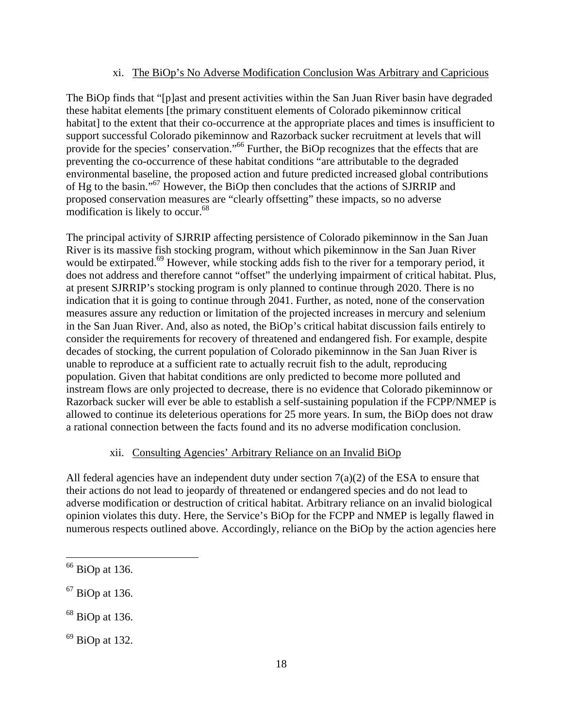#### xi. The BiOp's No Adverse Modification Conclusion Was Arbitrary and Capricious

The BiOp finds that "[p]ast and present activities within the San Juan River basin have degraded these habitat elements [the primary constituent elements of Colorado pikeminnow critical habitat] to the extent that their co-occurrence at the appropriate places and times is insufficient to support successful Colorado pikeminnow and Razorback sucker recruitment at levels that will provide for the species' conservation."<sup>66</sup> Further, the BiOp recognizes that the effects that are preventing the co-occurrence of these habitat conditions "are attributable to the degraded environmental baseline, the proposed action and future predicted increased global contributions of Hg to the basin."67 However, the BiOp then concludes that the actions of SJRRIP and proposed conservation measures are "clearly offsetting" these impacts, so no adverse modification is likely to occur.<sup>68</sup>

The principal activity of SJRRIP affecting persistence of Colorado pikeminnow in the San Juan River is its massive fish stocking program, without which pikeminnow in the San Juan River would be extirpated.<sup>69</sup> However, while stocking adds fish to the river for a temporary period, it does not address and therefore cannot "offset" the underlying impairment of critical habitat. Plus, at present SJRRIP's stocking program is only planned to continue through 2020. There is no indication that it is going to continue through 2041. Further, as noted, none of the conservation measures assure any reduction or limitation of the projected increases in mercury and selenium in the San Juan River. And, also as noted, the BiOp's critical habitat discussion fails entirely to consider the requirements for recovery of threatened and endangered fish. For example, despite decades of stocking, the current population of Colorado pikeminnow in the San Juan River is unable to reproduce at a sufficient rate to actually recruit fish to the adult, reproducing population. Given that habitat conditions are only predicted to become more polluted and instream flows are only projected to decrease, there is no evidence that Colorado pikeminnow or Razorback sucker will ever be able to establish a self-sustaining population if the FCPP/NMEP is allowed to continue its deleterious operations for 25 more years. In sum, the BiOp does not draw a rational connection between the facts found and its no adverse modification conclusion.

## xii. Consulting Agencies' Arbitrary Reliance on an Invalid BiOp

All federal agencies have an independent duty under section  $7(a)(2)$  of the ESA to ensure that their actions do not lead to jeopardy of threatened or endangered species and do not lead to adverse modification or destruction of critical habitat. Arbitrary reliance on an invalid biological opinion violates this duty. Here, the Service's BiOp for the FCPP and NMEP is legally flawed in numerous respects outlined above. Accordingly, reliance on the BiOp by the action agencies here

 $66$  BiOp at 136.

<sup>67</sup> BiOp at 136.

<sup>68</sup> BiOp at 136.

 $69$  BiOp at 132.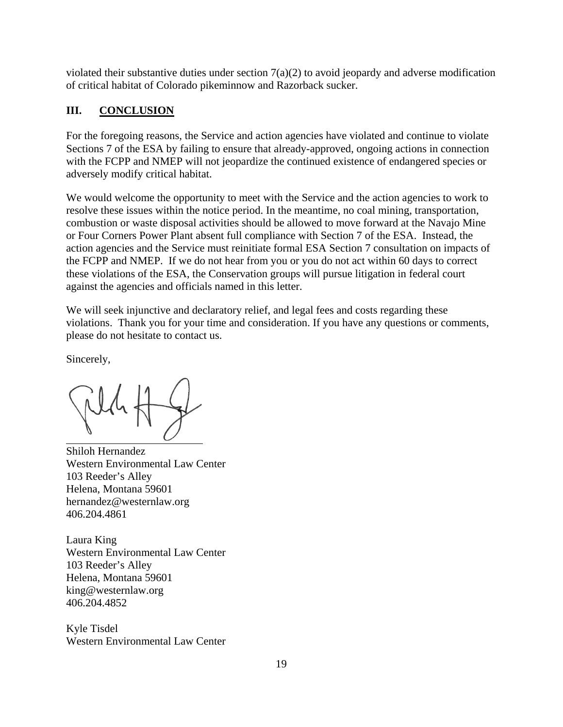violated their substantive duties under section  $7(a)(2)$  to avoid jeopardy and adverse modification of critical habitat of Colorado pikeminnow and Razorback sucker.

# **III. CONCLUSION**

For the foregoing reasons, the Service and action agencies have violated and continue to violate Sections 7 of the ESA by failing to ensure that already-approved, ongoing actions in connection with the FCPP and NMEP will not jeopardize the continued existence of endangered species or adversely modify critical habitat.

We would welcome the opportunity to meet with the Service and the action agencies to work to resolve these issues within the notice period. In the meantime, no coal mining, transportation, combustion or waste disposal activities should be allowed to move forward at the Navajo Mine or Four Corners Power Plant absent full compliance with Section 7 of the ESA. Instead, the action agencies and the Service must reinitiate formal ESA Section 7 consultation on impacts of the FCPP and NMEP. If we do not hear from you or you do not act within 60 days to correct these violations of the ESA, the Conservation groups will pursue litigation in federal court against the agencies and officials named in this letter.

We will seek injunctive and declaratory relief, and legal fees and costs regarding these violations. Thank you for your time and consideration. If you have any questions or comments, please do not hesitate to contact us.

Sincerely,

Shiloh Hernandez Western Environmental Law Center 103 Reeder's Alley Helena, Montana 59601 hernandez@westernlaw.org 406.204.4861

Laura King Western Environmental Law Center 103 Reeder's Alley Helena, Montana 59601 king@westernlaw.org 406.204.4852

Kyle Tisdel Western Environmental Law Center